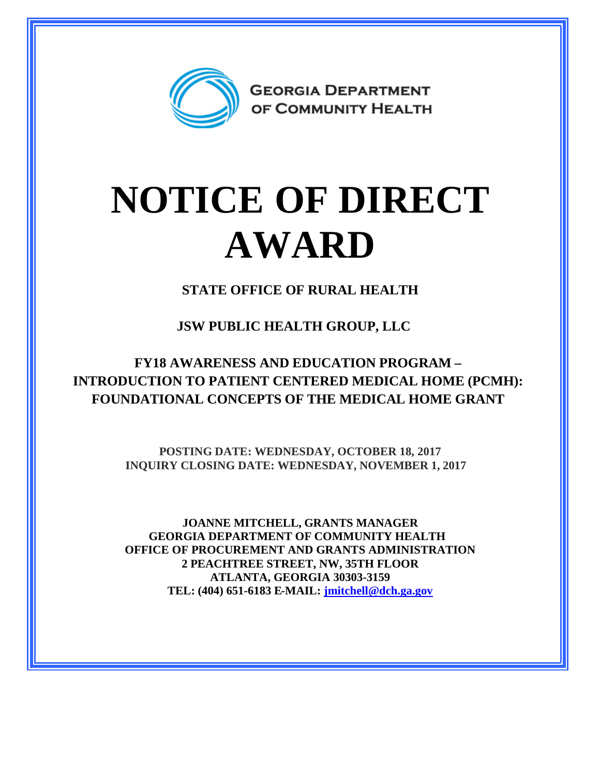

## **NOTICE OF DIRECT AWARD**

**STATE OFFICE OF RURAL HEALTH**

**JSW PUBLIC HEALTH GROUP, LLC**

**FY18 AWARENESS AND EDUCATION PROGRAM – INTRODUCTION TO PATIENT CENTERED MEDICAL HOME (PCMH): FOUNDATIONAL CONCEPTS OF THE MEDICAL HOME GRANT**

> **POSTING DATE: WEDNESDAY, OCTOBER 18, 2017 INQUIRY CLOSING DATE: WEDNESDAY, NOVEMBER 1, 2017**

**JOANNE MITCHELL, GRANTS MANAGER GEORGIA DEPARTMENT OF COMMUNITY HEALTH OFFICE OF PROCUREMENT AND GRANTS ADMINISTRATION 2 PEACHTREE STREET, NW, 35TH FLOOR ATLANTA, GEORGIA 30303-3159 TEL: (404) 651-6183 E-MAIL: [jmitchell@dch.ga.gov](mailto:jmitchell@dch.ga.gov)**